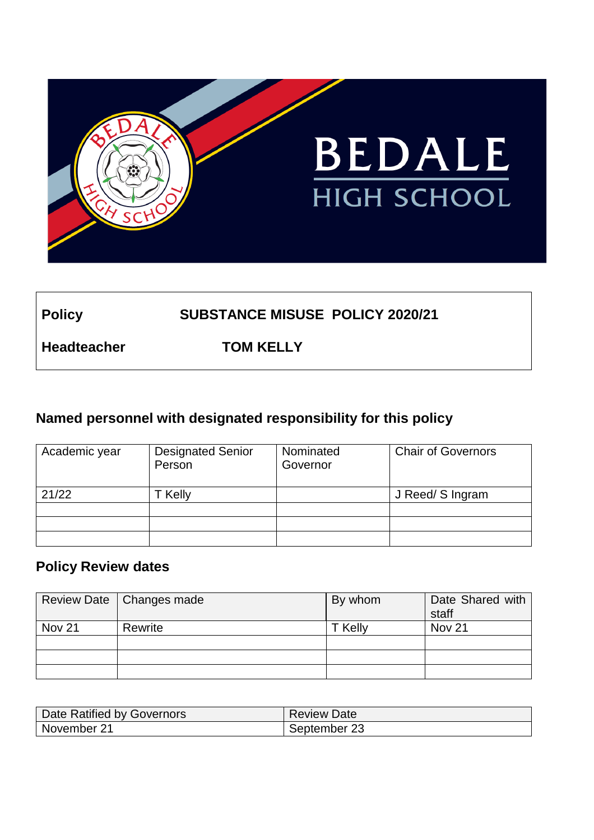

# **Policy SUBSTANCE MISUSE POLICY 2020/21**

**Headteacher TOM KELLY**

# **Named personnel with designated responsibility for this policy**

| Academic year | <b>Designated Senior</b><br>Person | Nominated<br>Governor | <b>Chair of Governors</b> |
|---------------|------------------------------------|-----------------------|---------------------------|
| 21/22         | <b>Kelly</b>                       |                       | J Reed/ S Ingram          |
|               |                                    |                       |                           |
|               |                                    |                       |                           |
|               |                                    |                       |                           |

# **Policy Review dates**

|               | Review Date   Changes made | By whom | Date Shared with<br>staff |
|---------------|----------------------------|---------|---------------------------|
| <b>Nov 21</b> | Rewrite                    | T Kelly | Nov 21                    |
|               |                            |         |                           |
|               |                            |         |                           |
|               |                            |         |                           |

| Date Ratified by Governors | <b>Review Date</b> |
|----------------------------|--------------------|
| November 21                | September 23       |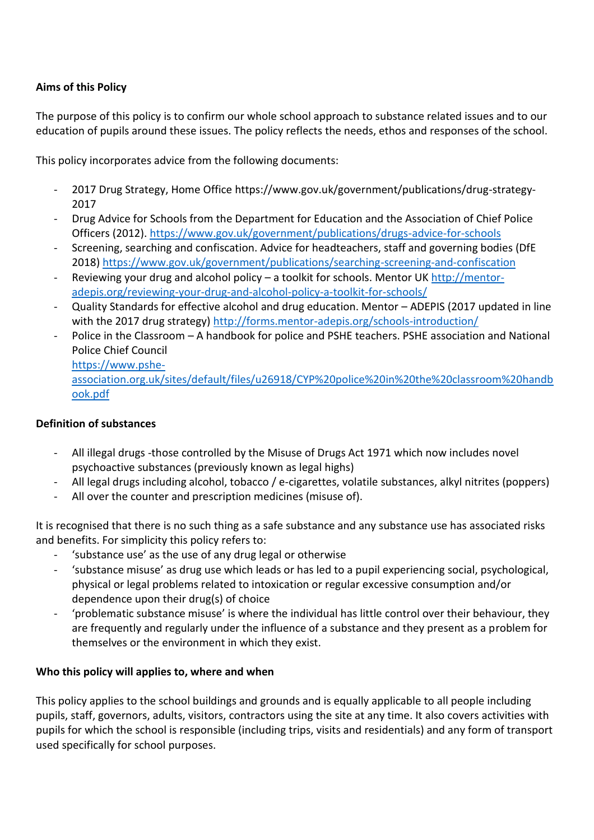## **Aims of this Policy**

The purpose of this policy is to confirm our whole school approach to substance related issues and to our education of pupils around these issues. The policy reflects the needs, ethos and responses of the school.

This policy incorporates advice from the following documents:

- 2017 Drug Strategy, Home Office https://www.gov.uk/government/publications/drug-strategy-2017
- Drug Advice for Schools from the Department for Education and the Association of Chief Police Officers (2012).<https://www.gov.uk/government/publications/drugs-advice-for-schools>
- Screening, searching and confiscation. Advice for headteachers, staff and governing bodies (DfE 2018[\) https://www.gov.uk/government/publications/searching-screening-and-confiscation](https://www.gov.uk/government/publications/searching-screening-and-confiscation)
- Reviewing your drug and alcohol policy a toolkit for schools. Mentor UK [http://mentor](http://mentor-adepis.org/reviewing-your-drug-and-alcohol-policy-a-toolkit-for-schools/)[adepis.org/reviewing-your-drug-and-alcohol-policy-a-toolkit-for-schools/](http://mentor-adepis.org/reviewing-your-drug-and-alcohol-policy-a-toolkit-for-schools/)
- Quality Standards for effective alcohol and drug education. Mentor ADEPIS (2017 updated in line with the 2017 drug strategy) http://forms.mentor-adepis.org/schools-introduction/
- Police in the Classroom A handbook for police and PSHE teachers. PSHE association and National Police Chief Council

[https://www.pshe](https://www.pshe-association.org.uk/sites/default/files/u26918/CYP%20police%20in%20the%20classroom%20handbook.pdf)[association.org.uk/sites/default/files/u26918/CYP%20police%20in%20the%20classroom%20handb](https://www.pshe-association.org.uk/sites/default/files/u26918/CYP%20police%20in%20the%20classroom%20handbook.pdf) [ook.pdf](https://www.pshe-association.org.uk/sites/default/files/u26918/CYP%20police%20in%20the%20classroom%20handbook.pdf)

### **Definition of substances**

- All illegal drugs -those controlled by the Misuse of Drugs Act 1971 which now includes novel psychoactive substances (previously known as legal highs)
- All legal drugs including alcohol, tobacco / e-cigarettes, volatile substances, alkyl nitrites (poppers)
- All over the counter and prescription medicines (misuse of).

It is recognised that there is no such thing as a safe substance and any substance use has associated risks and benefits. For simplicity this policy refers to:

- 'substance use' as the use of any drug legal or otherwise
- 'substance misuse' as drug use which leads or has led to a pupil experiencing social, psychological, physical or legal problems related to intoxication or regular excessive consumption and/or dependence upon their drug(s) of choice
- 'problematic substance misuse' is where the individual has little control over their behaviour, they are frequently and regularly under the influence of a substance and they present as a problem for themselves or the environment in which they exist.

### **Who this policy will applies to, where and when**

This policy applies to the school buildings and grounds and is equally applicable to all people including pupils, staff, governors, adults, visitors, contractors using the site at any time. It also covers activities with pupils for which the school is responsible (including trips, visits and residentials) and any form of transport used specifically for school purposes.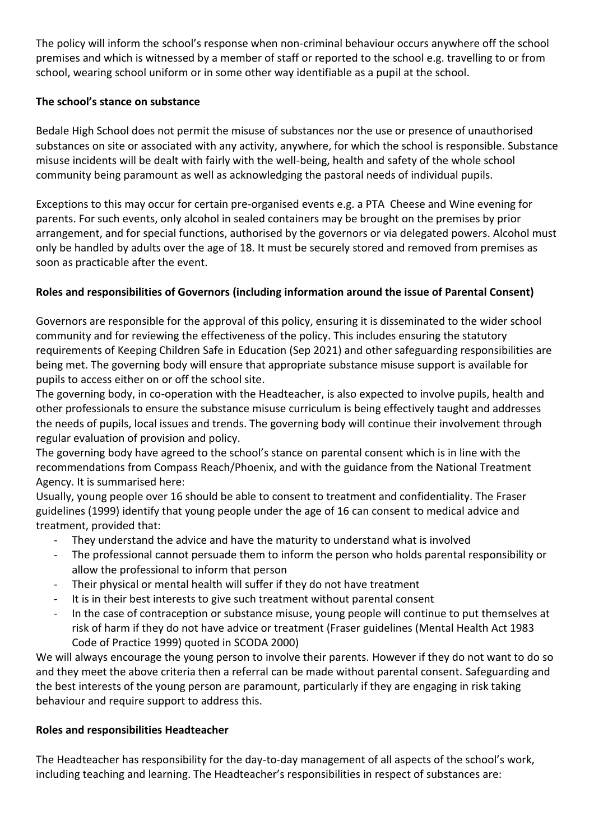The policy will inform the school's response when non-criminal behaviour occurs anywhere off the school premises and which is witnessed by a member of staff or reported to the school e.g. travelling to or from school, wearing school uniform or in some other way identifiable as a pupil at the school.

## **The school's stance on substance**

Bedale High School does not permit the misuse of substances nor the use or presence of unauthorised substances on site or associated with any activity, anywhere, for which the school is responsible. Substance misuse incidents will be dealt with fairly with the well-being, health and safety of the whole school community being paramount as well as acknowledging the pastoral needs of individual pupils.

Exceptions to this may occur for certain pre-organised events e.g. a PTA Cheese and Wine evening for parents. For such events, only alcohol in sealed containers may be brought on the premises by prior arrangement, and for special functions, authorised by the governors or via delegated powers. Alcohol must only be handled by adults over the age of 18. It must be securely stored and removed from premises as soon as practicable after the event.

# **Roles and responsibilities of Governors (including information around the issue of Parental Consent)**

Governors are responsible for the approval of this policy, ensuring it is disseminated to the wider school community and for reviewing the effectiveness of the policy. This includes ensuring the statutory requirements of Keeping Children Safe in Education (Sep 2021) and other safeguarding responsibilities are being met. The governing body will ensure that appropriate substance misuse support is available for pupils to access either on or off the school site.

The governing body, in co-operation with the Headteacher, is also expected to involve pupils, health and other professionals to ensure the substance misuse curriculum is being effectively taught and addresses the needs of pupils, local issues and trends. The governing body will continue their involvement through regular evaluation of provision and policy.

The governing body have agreed to the school's stance on parental consent which is in line with the recommendations from Compass Reach/Phoenix, and with the guidance from the National Treatment Agency. It is summarised here:

Usually, young people over 16 should be able to consent to treatment and confidentiality. The Fraser guidelines (1999) identify that young people under the age of 16 can consent to medical advice and treatment, provided that:

- They understand the advice and have the maturity to understand what is involved
- The professional cannot persuade them to inform the person who holds parental responsibility or allow the professional to inform that person
- Their physical or mental health will suffer if they do not have treatment
- It is in their best interests to give such treatment without parental consent
- In the case of contraception or substance misuse, young people will continue to put themselves at risk of harm if they do not have advice or treatment (Fraser guidelines (Mental Health Act 1983 Code of Practice 1999) quoted in SCODA 2000)

We will always encourage the young person to involve their parents. However if they do not want to do so and they meet the above criteria then a referral can be made without parental consent. Safeguarding and the best interests of the young person are paramount, particularly if they are engaging in risk taking behaviour and require support to address this.

### **Roles and responsibilities Headteacher**

The Headteacher has responsibility for the day-to-day management of all aspects of the school's work, including teaching and learning. The Headteacher's responsibilities in respect of substances are: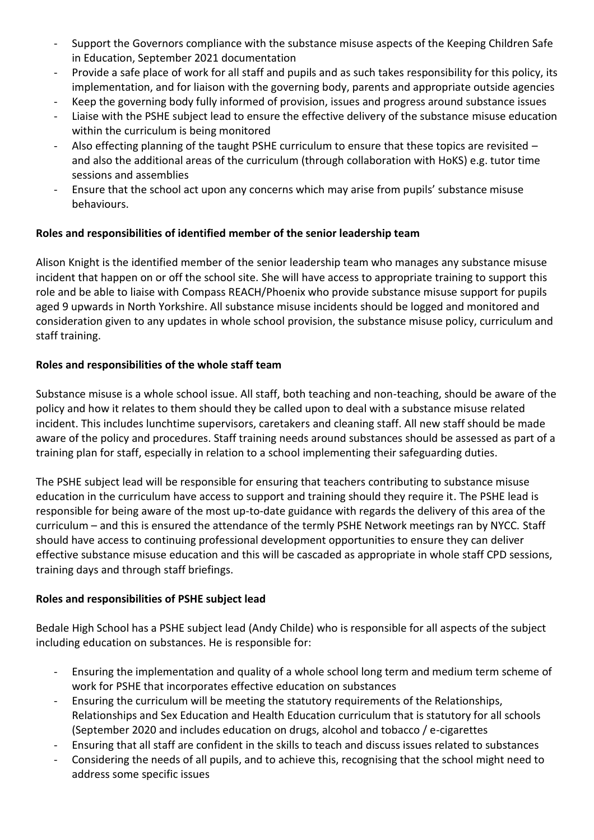- Support the Governors compliance with the substance misuse aspects of the Keeping Children Safe in Education, September 2021 documentation
- Provide a safe place of work for all staff and pupils and as such takes responsibility for this policy, its implementation, and for liaison with the governing body, parents and appropriate outside agencies
- Keep the governing body fully informed of provision, issues and progress around substance issues
- Liaise with the PSHE subject lead to ensure the effective delivery of the substance misuse education within the curriculum is being monitored
- Also effecting planning of the taught PSHE curriculum to ensure that these topics are revisited and also the additional areas of the curriculum (through collaboration with HoKS) e.g. tutor time sessions and assemblies
- Ensure that the school act upon any concerns which may arise from pupils' substance misuse behaviours.

## **Roles and responsibilities of identified member of the senior leadership team**

Alison Knight is the identified member of the senior leadership team who manages any substance misuse incident that happen on or off the school site. She will have access to appropriate training to support this role and be able to liaise with Compass REACH/Phoenix who provide substance misuse support for pupils aged 9 upwards in North Yorkshire. All substance misuse incidents should be logged and monitored and consideration given to any updates in whole school provision, the substance misuse policy, curriculum and staff training.

### **Roles and responsibilities of the whole staff team**

Substance misuse is a whole school issue. All staff, both teaching and non-teaching, should be aware of the policy and how it relates to them should they be called upon to deal with a substance misuse related incident. This includes lunchtime supervisors, caretakers and cleaning staff. All new staff should be made aware of the policy and procedures. Staff training needs around substances should be assessed as part of a training plan for staff, especially in relation to a school implementing their safeguarding duties.

The PSHE subject lead will be responsible for ensuring that teachers contributing to substance misuse education in the curriculum have access to support and training should they require it. The PSHE lead is responsible for being aware of the most up-to-date guidance with regards the delivery of this area of the curriculum – and this is ensured the attendance of the termly PSHE Network meetings ran by NYCC. Staff should have access to continuing professional development opportunities to ensure they can deliver effective substance misuse education and this will be cascaded as appropriate in whole staff CPD sessions, training days and through staff briefings.

### **Roles and responsibilities of PSHE subject lead**

Bedale High School has a PSHE subject lead (Andy Childe) who is responsible for all aspects of the subject including education on substances. He is responsible for:

- Ensuring the implementation and quality of a whole school long term and medium term scheme of work for PSHE that incorporates effective education on substances
- Ensuring the curriculum will be meeting the statutory requirements of the Relationships, Relationships and Sex Education and Health Education curriculum that is statutory for all schools (September 2020 and includes education on drugs, alcohol and tobacco / e-cigarettes
- Ensuring that all staff are confident in the skills to teach and discuss issues related to substances
- Considering the needs of all pupils, and to achieve this, recognising that the school might need to address some specific issues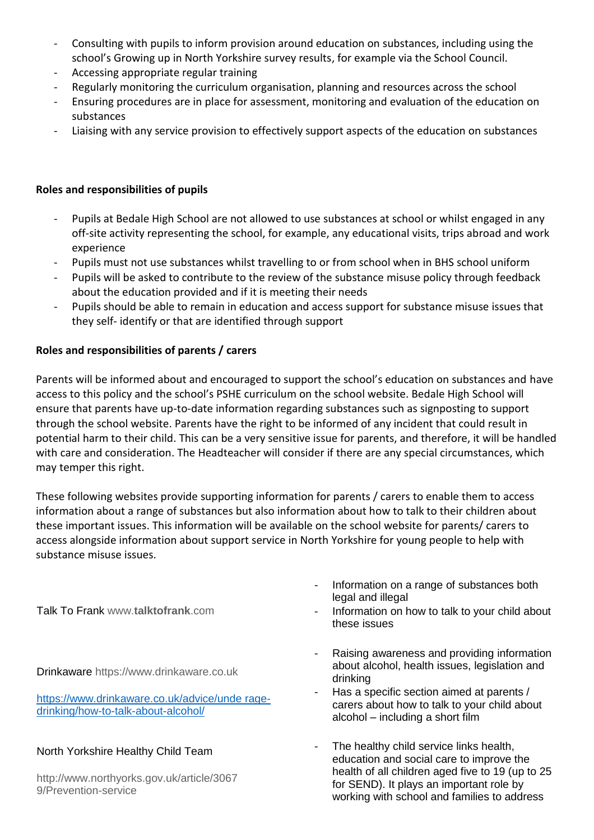- Consulting with pupils to inform provision around education on substances, including using the school's Growing up in North Yorkshire survey results, for example via the School Council.
- Accessing appropriate regular training
- Regularly monitoring the curriculum organisation, planning and resources across the school
- Ensuring procedures are in place for assessment, monitoring and evaluation of the education on substances
- Liaising with any service provision to effectively support aspects of the education on substances

#### **Roles and responsibilities of pupils**

- Pupils at Bedale High School are not allowed to use substances at school or whilst engaged in any off-site activity representing the school, for example, any educational visits, trips abroad and work experience
- Pupils must not use substances whilst travelling to or from school when in BHS school uniform
- Pupils will be asked to contribute to the review of the substance misuse policy through feedback about the education provided and if it is meeting their needs
- Pupils should be able to remain in education and access support for substance misuse issues that they self- identify or that are identified through support

#### **Roles and responsibilities of parents / carers**

Parents will be informed about and encouraged to support the school's education on substances and have access to this policy and the school's PSHE curriculum on the school website. Bedale High School will ensure that parents have up-to-date information regarding substances such as signposting to support through the school website. Parents have the right to be informed of any incident that could result in potential harm to their child. This can be a very sensitive issue for parents, and therefore, it will be handled with care and consideration. The Headteacher will consider if there are any special circumstances, which may temper this right.

These following websites provide supporting information for parents / carers to enable them to access information about a range of substances but also information about how to talk to their children about these important issues. This information will be available on the school website for parents/ carers to access alongside information about support service in North Yorkshire for young people to help with substance misuse issues.

Talk To Frank www.**talktofrank**.com

Drinkaware https://www.drinkaware.co.uk

[https://www.drinkaware.co.uk/advice/unde](https://www.drinkaware.co.uk/advice/unde%20rage-drinking/how-to-talk-about-alcohol/) rage[drinking/how-to-talk-about-alcohol/](https://www.drinkaware.co.uk/advice/unde%20rage-drinking/how-to-talk-about-alcohol/)

### North Yorkshire Healthy Child Team

http://www.northyorks.gov.uk/article/3067 9/Prevention-service

- Information on a range of substances both legal and illegal
- Information on how to talk to your child about these issues
- Raising awareness and providing information about alcohol, health issues, legislation and drinking
- Has a specific section aimed at parents / carers about how to talk to your child about alcohol – including a short film
- The healthy child service links health, education and social care to improve the health of all children aged five to 19 (up to 25 for SEND). It plays an important role by working with school and families to address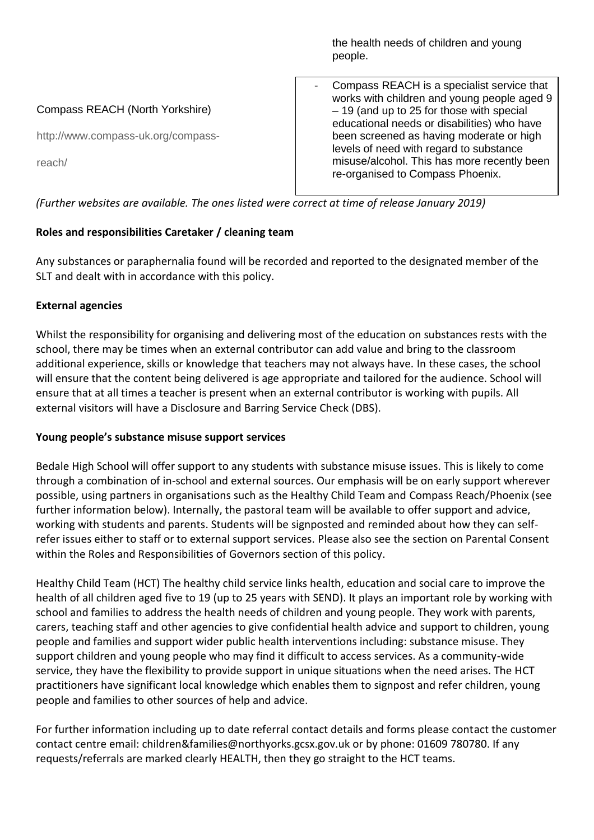the health needs of children and young people. Compass REACH (North Yorkshire) http://www.compass-uk.org/compassreach/ Compass REACH is a specialist service that works with children and young people aged 9 – 19 (and up to 25 for those with special educational needs or disabilities) who have been screened as having moderate or high levels of need with regard to substance misuse/alcohol. This has more recently been re-organised to Compass Phoenix.

*(Further websites are available. The ones listed were correct at time of release January 2019)*

# **Roles and responsibilities Caretaker / cleaning team**

Any substances or paraphernalia found will be recorded and reported to the designated member of the SLT and dealt with in accordance with this policy.

## **External agencies**

Whilst the responsibility for organising and delivering most of the education on substances rests with the school, there may be times when an external contributor can add value and bring to the classroom additional experience, skills or knowledge that teachers may not always have. In these cases, the school will ensure that the content being delivered is age appropriate and tailored for the audience. School will ensure that at all times a teacher is present when an external contributor is working with pupils. All external visitors will have a Disclosure and Barring Service Check (DBS).

### **Young people's substance misuse support services**

Bedale High School will offer support to any students with substance misuse issues. This is likely to come through a combination of in-school and external sources. Our emphasis will be on early support wherever possible, using partners in organisations such as the Healthy Child Team and Compass Reach/Phoenix (see further information below). Internally, the pastoral team will be available to offer support and advice, working with students and parents. Students will be signposted and reminded about how they can selfrefer issues either to staff or to external support services. Please also see the section on Parental Consent within the Roles and Responsibilities of Governors section of this policy.

Healthy Child Team (HCT) The healthy child service links health, education and social care to improve the health of all children aged five to 19 (up to 25 years with SEND). It plays an important role by working with school and families to address the health needs of children and young people. They work with parents, carers, teaching staff and other agencies to give confidential health advice and support to children, young people and families and support wider public health interventions including: substance misuse. They support children and young people who may find it difficult to access services. As a community-wide service, they have the flexibility to provide support in unique situations when the need arises. The HCT practitioners have significant local knowledge which enables them to signpost and refer children, young people and families to other sources of help and advice.

For further information including up to date referral contact details and forms please contact the customer contact centre email: children&families@northyorks.gcsx.gov.uk or by phone: 01609 780780. If any requests/referrals are marked clearly HEALTH, then they go straight to the HCT teams.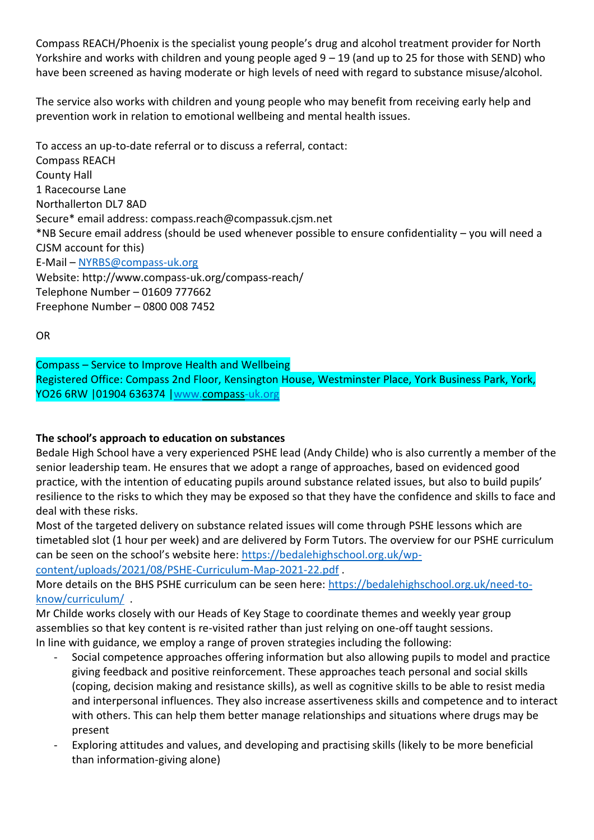Compass REACH/Phoenix is the specialist young people's drug and alcohol treatment provider for North Yorkshire and works with children and young people aged  $9 - 19$  (and up to 25 for those with SEND) who have been screened as having moderate or high levels of need with regard to substance misuse/alcohol.

The service also works with children and young people who may benefit from receiving early help and prevention work in relation to emotional wellbeing and mental health issues.

To access an up-to-date referral or to discuss a referral, contact: Compass REACH County Hall 1 Racecourse Lane Northallerton DL7 8AD Secure\* email address: compass.reach@compassuk.cjsm.net \*NB Secure email address (should be used whenever possible to ensure confidentiality – you will need a CJSM account for this) E-Mail – [NYRBS@compass-uk.org](mailto:NYRBS@compass-uk.org) Website: http://www.compass-uk.org/compass-reach/ Telephone Number – 01609 777662 Freephone Number – 0800 008 7452

OR

Compass – Service to Improve Health and Wellbeing Registered Office: Compass 2nd Floor, Kensington House, Westminster Place, York Business Park, York, YO26 6RW |01904 636374 [|www.compass-uk.org](http://www.compass-uk.org/)

### **The school's approach to education on substances**

Bedale High School have a very experienced PSHE lead (Andy Childe) who is also currently a member of the senior leadership team. He ensures that we adopt a range of approaches, based on evidenced good practice, with the intention of educating pupils around substance related issues, but also to build pupils' resilience to the risks to which they may be exposed so that they have the confidence and skills to face and deal with these risks.

Most of the targeted delivery on substance related issues will come through PSHE lessons which are timetabled slot (1 hour per week) and are delivered by Form Tutors. The overview for our PSHE curriculum can be seen on the school's website here: [https://bedalehighschool.org.uk/wp-](https://bedalehighschool.org.uk/wp-content/uploads/2021/08/PSHE-Curriculum-Map-2021-22.pdf)

[content/uploads/2021/08/PSHE-Curriculum-Map-2021-22.pdf](https://bedalehighschool.org.uk/wp-content/uploads/2021/08/PSHE-Curriculum-Map-2021-22.pdf) .

More details on the BHS PSHE curriculum can be seen here: [https://bedalehighschool.org.uk/need-to](https://bedalehighschool.org.uk/need-to-know/curriculum/)[know/curriculum/](https://bedalehighschool.org.uk/need-to-know/curriculum/) .

Mr Childe works closely with our Heads of Key Stage to coordinate themes and weekly year group assemblies so that key content is re-visited rather than just relying on one-off taught sessions. In line with guidance, we employ a range of proven strategies including the following:

- Social competence approaches offering information but also allowing pupils to model and practice giving feedback and positive reinforcement. These approaches teach personal and social skills (coping, decision making and resistance skills), as well as cognitive skills to be able to resist media and interpersonal influences. They also increase assertiveness skills and competence and to interact with others. This can help them better manage relationships and situations where drugs may be present
- Exploring attitudes and values, and developing and practising skills (likely to be more beneficial than information-giving alone)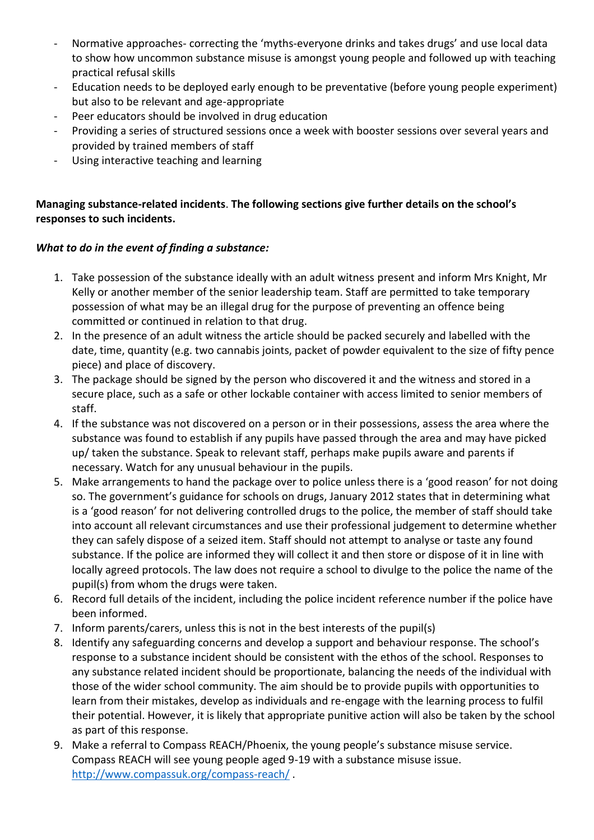- Normative approaches- correcting the 'myths-everyone drinks and takes drugs' and use local data to show how uncommon substance misuse is amongst young people and followed up with teaching practical refusal skills
- Education needs to be deployed early enough to be preventative (before young people experiment) but also to be relevant and age-appropriate
- Peer educators should be involved in drug education
- Providing a series of structured sessions once a week with booster sessions over several years and provided by trained members of staff
- Using interactive teaching and learning

## **Managing substance-related incidents**. **The following sections give further details on the school's responses to such incidents.**

### *What to do in the event of finding a substance:*

- 1. Take possession of the substance ideally with an adult witness present and inform Mrs Knight, Mr Kelly or another member of the senior leadership team. Staff are permitted to take temporary possession of what may be an illegal drug for the purpose of preventing an offence being committed or continued in relation to that drug.
- 2. In the presence of an adult witness the article should be packed securely and labelled with the date, time, quantity (e.g. two cannabis joints, packet of powder equivalent to the size of fifty pence piece) and place of discovery.
- 3. The package should be signed by the person who discovered it and the witness and stored in a secure place, such as a safe or other lockable container with access limited to senior members of staff.
- 4. If the substance was not discovered on a person or in their possessions, assess the area where the substance was found to establish if any pupils have passed through the area and may have picked up/ taken the substance. Speak to relevant staff, perhaps make pupils aware and parents if necessary. Watch for any unusual behaviour in the pupils.
- 5. Make arrangements to hand the package over to police unless there is a 'good reason' for not doing so. The government's guidance for schools on drugs, January 2012 states that in determining what is a 'good reason' for not delivering controlled drugs to the police, the member of staff should take into account all relevant circumstances and use their professional judgement to determine whether they can safely dispose of a seized item. Staff should not attempt to analyse or taste any found substance. If the police are informed they will collect it and then store or dispose of it in line with locally agreed protocols. The law does not require a school to divulge to the police the name of the pupil(s) from whom the drugs were taken.
- 6. Record full details of the incident, including the police incident reference number if the police have been informed.
- 7. Inform parents/carers, unless this is not in the best interests of the pupil(s)
- 8. Identify any safeguarding concerns and develop a support and behaviour response. The school's response to a substance incident should be consistent with the ethos of the school. Responses to any substance related incident should be proportionate, balancing the needs of the individual with those of the wider school community. The aim should be to provide pupils with opportunities to learn from their mistakes, develop as individuals and re-engage with the learning process to fulfil their potential. However, it is likely that appropriate punitive action will also be taken by the school as part of this response.
- 9. Make a referral to Compass REACH/Phoenix, the young people's substance misuse service. Compass REACH will see young people aged 9-19 with a substance misuse issue. <http://www.compassuk.org/compass-reach/> .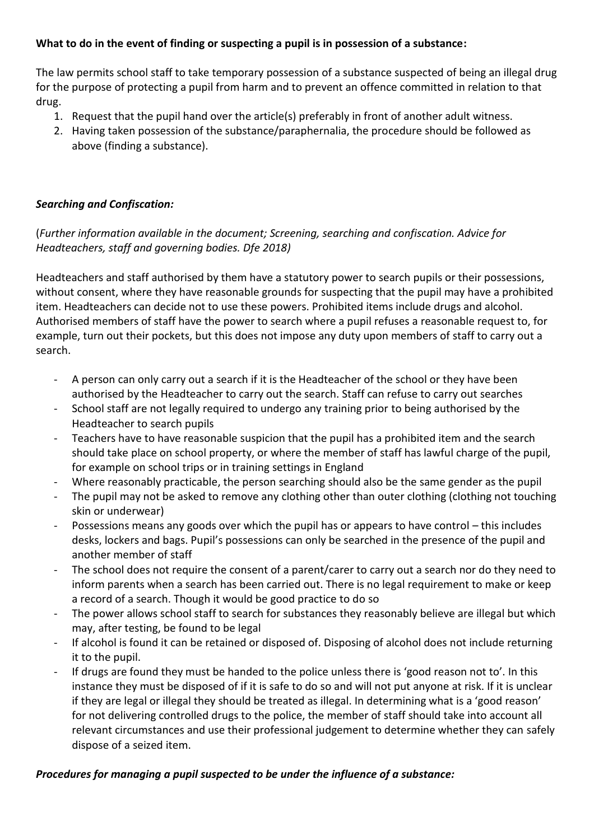## **What to do in the event of finding or suspecting a pupil is in possession of a substance:**

The law permits school staff to take temporary possession of a substance suspected of being an illegal drug for the purpose of protecting a pupil from harm and to prevent an offence committed in relation to that drug.

- 1. Request that the pupil hand over the article(s) preferably in front of another adult witness.
- 2. Having taken possession of the substance/paraphernalia, the procedure should be followed as above (finding a substance).

### *Searching and Confiscation:*

(*Further information available in the document; Screening, searching and confiscation. Advice for Headteachers, staff and governing bodies. Dfe 2018)*

Headteachers and staff authorised by them have a statutory power to search pupils or their possessions, without consent, where they have reasonable grounds for suspecting that the pupil may have a prohibited item. Headteachers can decide not to use these powers. Prohibited items include drugs and alcohol. Authorised members of staff have the power to search where a pupil refuses a reasonable request to, for example, turn out their pockets, but this does not impose any duty upon members of staff to carry out a search.

- A person can only carry out a search if it is the Headteacher of the school or they have been authorised by the Headteacher to carry out the search. Staff can refuse to carry out searches
- School staff are not legally required to undergo any training prior to being authorised by the Headteacher to search pupils
- Teachers have to have reasonable suspicion that the pupil has a prohibited item and the search should take place on school property, or where the member of staff has lawful charge of the pupil, for example on school trips or in training settings in England
- Where reasonably practicable, the person searching should also be the same gender as the pupil
- The pupil may not be asked to remove any clothing other than outer clothing (clothing not touching skin or underwear)
- Possessions means any goods over which the pupil has or appears to have control this includes desks, lockers and bags. Pupil's possessions can only be searched in the presence of the pupil and another member of staff
- The school does not require the consent of a parent/carer to carry out a search nor do they need to inform parents when a search has been carried out. There is no legal requirement to make or keep a record of a search. Though it would be good practice to do so
- The power allows school staff to search for substances they reasonably believe are illegal but which may, after testing, be found to be legal
- If alcohol is found it can be retained or disposed of. Disposing of alcohol does not include returning it to the pupil.
- If drugs are found they must be handed to the police unless there is 'good reason not to'. In this instance they must be disposed of if it is safe to do so and will not put anyone at risk. If it is unclear if they are legal or illegal they should be treated as illegal. In determining what is a 'good reason' for not delivering controlled drugs to the police, the member of staff should take into account all relevant circumstances and use their professional judgement to determine whether they can safely dispose of a seized item.

### *Procedures for managing a pupil suspected to be under the influence of a substance:*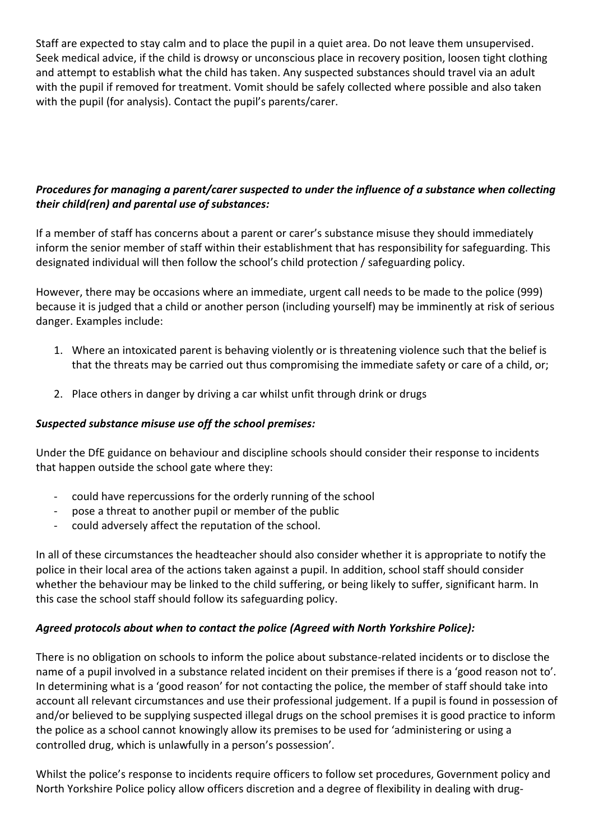Staff are expected to stay calm and to place the pupil in a quiet area. Do not leave them unsupervised. Seek medical advice, if the child is drowsy or unconscious place in recovery position, loosen tight clothing and attempt to establish what the child has taken. Any suspected substances should travel via an adult with the pupil if removed for treatment. Vomit should be safely collected where possible and also taken with the pupil (for analysis). Contact the pupil's parents/carer.

# *Procedures for managing a parent/carer suspected to under the influence of a substance when collecting their child(ren) and parental use of substances:*

If a member of staff has concerns about a parent or carer's substance misuse they should immediately inform the senior member of staff within their establishment that has responsibility for safeguarding. This designated individual will then follow the school's child protection / safeguarding policy.

However, there may be occasions where an immediate, urgent call needs to be made to the police (999) because it is judged that a child or another person (including yourself) may be imminently at risk of serious danger. Examples include:

- 1. Where an intoxicated parent is behaving violently or is threatening violence such that the belief is that the threats may be carried out thus compromising the immediate safety or care of a child, or;
- 2. Place others in danger by driving a car whilst unfit through drink or drugs

### *Suspected substance misuse use off the school premises:*

Under the DfE guidance on behaviour and discipline schools should consider their response to incidents that happen outside the school gate where they:

- could have repercussions for the orderly running of the school
- pose a threat to another pupil or member of the public
- could adversely affect the reputation of the school.

In all of these circumstances the headteacher should also consider whether it is appropriate to notify the police in their local area of the actions taken against a pupil. In addition, school staff should consider whether the behaviour may be linked to the child suffering, or being likely to suffer, significant harm. In this case the school staff should follow its safeguarding policy.

# *Agreed protocols about when to contact the police (Agreed with North Yorkshire Police):*

There is no obligation on schools to inform the police about substance-related incidents or to disclose the name of a pupil involved in a substance related incident on their premises if there is a 'good reason not to'. In determining what is a 'good reason' for not contacting the police, the member of staff should take into account all relevant circumstances and use their professional judgement. If a pupil is found in possession of and/or believed to be supplying suspected illegal drugs on the school premises it is good practice to inform the police as a school cannot knowingly allow its premises to be used for 'administering or using a controlled drug, which is unlawfully in a person's possession'.

Whilst the police's response to incidents require officers to follow set procedures, Government policy and North Yorkshire Police policy allow officers discretion and a degree of flexibility in dealing with drug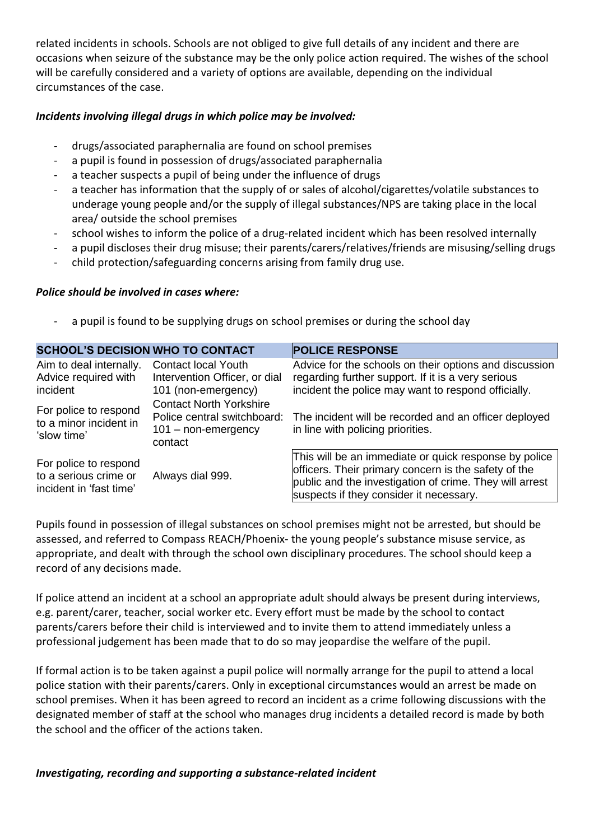related incidents in schools. Schools are not obliged to give full details of any incident and there are occasions when seizure of the substance may be the only police action required. The wishes of the school will be carefully considered and a variety of options are available, depending on the individual circumstances of the case.

#### *Incidents involving illegal drugs in which police may be involved:*

- drugs/associated paraphernalia are found on school premises
- a pupil is found in possession of drugs/associated paraphernalia
- a teacher suspects a pupil of being under the influence of drugs
- a teacher has information that the supply of or sales of alcohol/cigarettes/volatile substances to underage young people and/or the supply of illegal substances/NPS are taking place in the local area/ outside the school premises
- school wishes to inform the police of a drug-related incident which has been resolved internally
- a pupil discloses their drug misuse; their parents/carers/relatives/friends are misusing/selling drugs
- child protection/safeguarding concerns arising from family drug use.

#### *Police should be involved in cases where:*

a pupil is found to be supplying drugs on school premises or during the school day

| <b>SCHOOL'S DECISION WHO TO CONTACT</b>                                   |                                                                                                   | <b>POLICE RESPONSE</b>                                                                                                                                                                                              |  |
|---------------------------------------------------------------------------|---------------------------------------------------------------------------------------------------|---------------------------------------------------------------------------------------------------------------------------------------------------------------------------------------------------------------------|--|
| Aim to deal internally.<br>Advice required with<br>incident               | <b>Contact local Youth</b><br>Intervention Officer, or dial<br>101 (non-emergency)                | Advice for the schools on their options and discussion<br>regarding further support. If it is a very serious<br>incident the police may want to respond officially.                                                 |  |
| For police to respond<br>to a minor incident in<br>'slow time'            | <b>Contact North Yorkshire</b><br>Police central switchboard:<br>$101 - non-emergency$<br>contact | The incident will be recorded and an officer deployed<br>in line with policing priorities.                                                                                                                          |  |
| For police to respond<br>to a serious crime or<br>incident in 'fast time' | Always dial 999.                                                                                  | This will be an immediate or quick response by police<br>officers. Their primary concern is the safety of the<br>public and the investigation of crime. They will arrest<br>suspects if they consider it necessary. |  |

Pupils found in possession of illegal substances on school premises might not be arrested, but should be assessed, and referred to Compass REACH/Phoenix- the young people's substance misuse service, as appropriate, and dealt with through the school own disciplinary procedures. The school should keep a record of any decisions made.

If police attend an incident at a school an appropriate adult should always be present during interviews, e.g. parent/carer, teacher, social worker etc. Every effort must be made by the school to contact parents/carers before their child is interviewed and to invite them to attend immediately unless a professional judgement has been made that to do so may jeopardise the welfare of the pupil.

If formal action is to be taken against a pupil police will normally arrange for the pupil to attend a local police station with their parents/carers. Only in exceptional circumstances would an arrest be made on school premises. When it has been agreed to record an incident as a crime following discussions with the designated member of staff at the school who manages drug incidents a detailed record is made by both the school and the officer of the actions taken.

### *Investigating, recording and supporting a substance-related incident*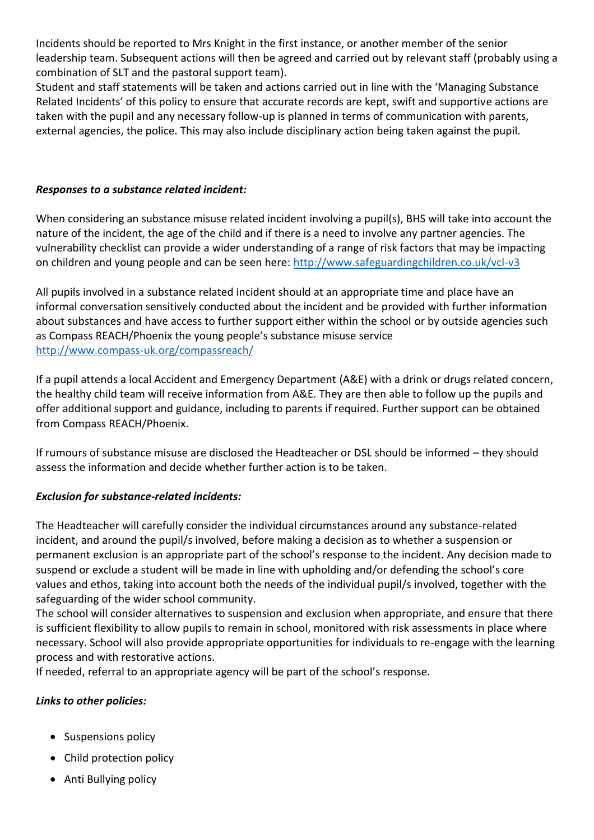Incidents should be reported to Mrs Knight in the first instance, or another member of the senior leadership team. Subsequent actions will then be agreed and carried out by relevant staff (probably using a combination of SLT and the pastoral support team).

Student and staff statements will be taken and actions carried out in line with the 'Managing Substance Related Incidents' of this policy to ensure that accurate records are kept, swift and supportive actions are taken with the pupil and any necessary follow-up is planned in terms of communication with parents, external agencies, the police. This may also include disciplinary action being taken against the pupil.

### *Responses to a substance related incident:*

When considering an substance misuse related incident involving a pupil(s), BHS will take into account the nature of the incident, the age of the child and if there is a need to involve any partner agencies. The vulnerability checklist can provide a wider understanding of a range of risk factors that may be impacting on children and young people and can be seen here:<http://www.safeguardingchildren.co.uk/vcl-v3>

All pupils involved in a substance related incident should at an appropriate time and place have an informal conversation sensitively conducted about the incident and be provided with further information about substances and have access to further support either within the school or by outside agencies such as Compass REACH/Phoenix the young people's substance misuse service <http://www.compass-uk.org/compassreach/>

If a pupil attends a local Accident and Emergency Department (A&E) with a drink or drugs related concern, the healthy child team will receive information from A&E. They are then able to follow up the pupils and offer additional support and guidance, including to parents if required. Further support can be obtained from Compass REACH/Phoenix.

If rumours of substance misuse are disclosed the Headteacher or DSL should be informed – they should assess the information and decide whether further action is to be taken.

# *Exclusion for substance-related incidents:*

The Headteacher will carefully consider the individual circumstances around any substance-related incident, and around the pupil/s involved, before making a decision as to whether a suspension or permanent exclusion is an appropriate part of the school's response to the incident. Any decision made to suspend or exclude a student will be made in line with upholding and/or defending the school's core values and ethos, taking into account both the needs of the individual pupil/s involved, together with the safeguarding of the wider school community.

The school will consider alternatives to suspension and exclusion when appropriate, and ensure that there is sufficient flexibility to allow pupils to remain in school, monitored with risk assessments in place where necessary. School will also provide appropriate opportunities for individuals to re-engage with the learning process and with restorative actions.

If needed, referral to an appropriate agency will be part of the school's response.

# *Links to other policies:*

- Suspensions policy
- Child protection policy
- Anti Bullying policy